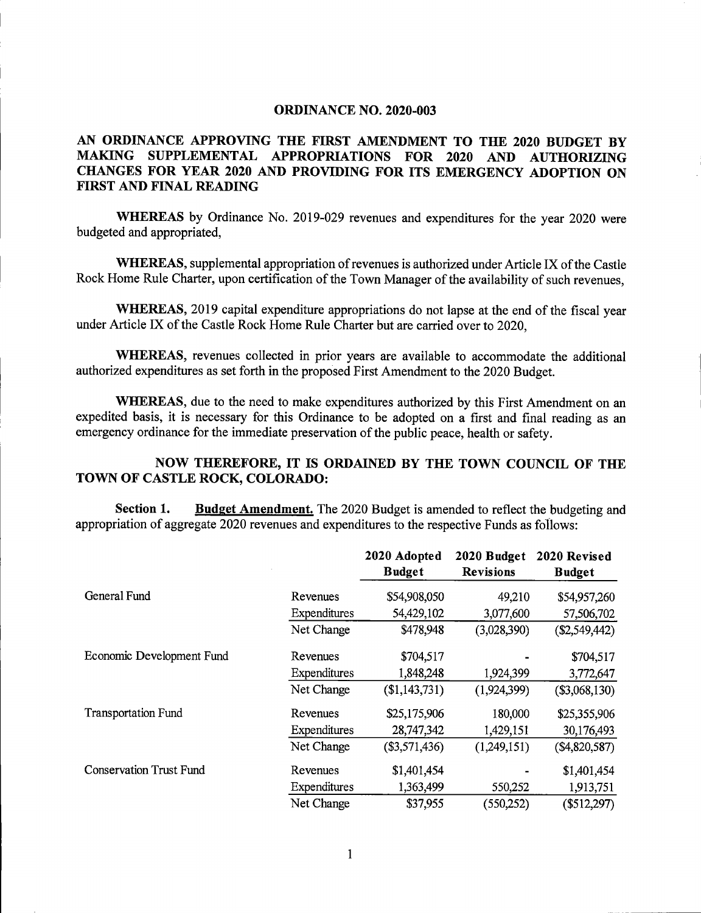## ORDINANCE NO. 2020-003

## AN ORDINANCE APPROVING THE FIRST AMENDMENT TO THE 2020 BUDGET BY MAKING SUPPLEMENTAL APPROPRIATIONS FOR 2020 AND AUTHORIZING CHANGES FOR YEAR 2020 AND PROVIDING FOR ITS EMERGENCY ADOPTION ON FIRST AND FINAL READING

WHEREAS by Ordinance No. 2019-029 revenues and expenditures for the year 2020 were budgeted and appropriated,

WHEREAS, supplemental appropriation of revenues is authorized under Article IX of the Castle Rock Home Rule Charter, upon certification of the Town Manager of the availability of such revenues,

WHEREAS, 2019 capital expenditure appropriations do not lapse at the end of the fiscal year under Article IX of the Castle Rock Home Rule Charter but are carried over to 2020.

WHEREAS, revenues collected in prior years are available to accommodate the additional authorized expenditures as set forth in the proposed First Amendment to the 2020 Budget.

WHEREAS, due to the need to make expenditures authorized by this First Amendment on an expedited basis, it is necessary for this Ordinance to be adopted on a first and final reading as an emergency ordinance for the immediate preservation of the public peace, health or safety.

## NOW THEREFORE, IT IS ORDAINED BY THE TOWN COUNCIL OF THE TOWN OF CASTLE ROCK, COLORADO:

Section 1. Budget Amendment. The 2020 Budget is amended to reflect the budgeting and appropriation of aggregate 2020 revenues and expenditures to the respective Funds as follows:

|                                |              | 2020 Adopted<br><b>Budget</b> | 2020 Budget<br><b>Revisions</b> | 2020 Revised<br><b>Budget</b> |
|--------------------------------|--------------|-------------------------------|---------------------------------|-------------------------------|
| General Fund                   | Revenues     | \$54,908,050                  | 49,210                          | \$54,957,260                  |
|                                | Expenditures | 54,429,102                    | 3,077,600                       | 57,506,702                    |
|                                | Net Change   | \$478,948                     | (3,028,390)                     | (\$2,549,442)                 |
| Economic Development Fund      | Revenues     | \$704,517                     |                                 | \$704,517                     |
|                                | Expenditures | 1,848,248                     | 1,924,399                       | 3,772,647                     |
|                                | Net Change   | (\$1,143,731)                 | (1,924,399)                     | (\$3,068,130)                 |
| <b>Transportation Fund</b>     | Revenues     | \$25,175,906                  | 180,000                         | \$25,355,906                  |
|                                | Expenditures | 28,747,342                    | 1,429,151                       | 30,176,493                    |
|                                | Net Change   | (\$3,571,436)                 | (1,249,151)                     | (\$4,820,587)                 |
| <b>Conservation Trust Fund</b> | Revenues     | \$1,401,454                   |                                 | \$1,401,454                   |
|                                | Expenditures | 1,363,499                     | 550,252                         | 1,913,751                     |
|                                | Net Change   | \$37,955                      | (550, 252)                      | $(\$512,297)$                 |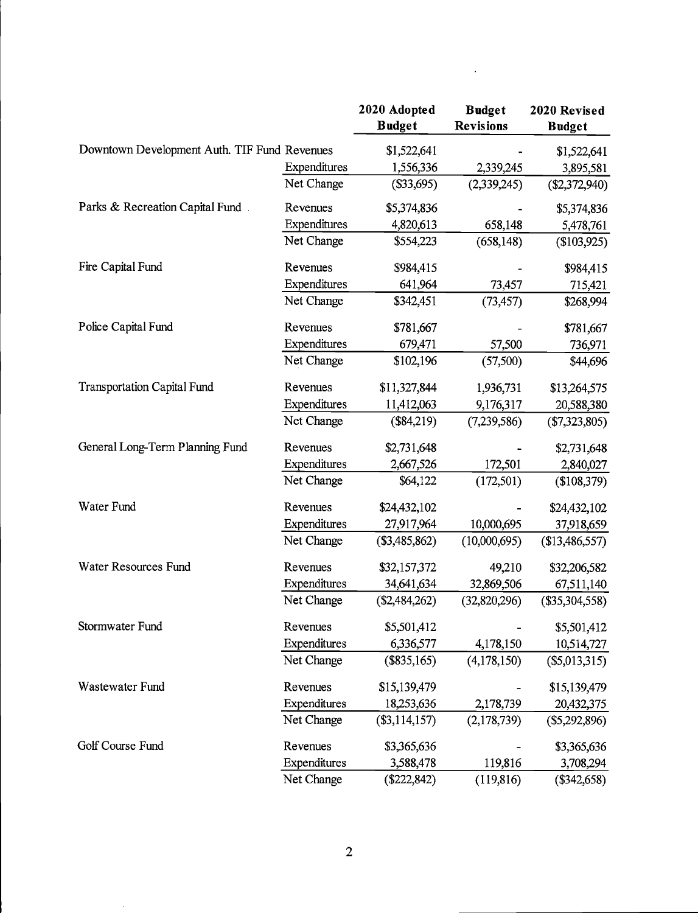|                                              |              | 2020 Adopted    | <b>Budget</b>    | 2020 Revised     |
|----------------------------------------------|--------------|-----------------|------------------|------------------|
|                                              |              | <b>Budget</b>   | <b>Revisions</b> | <b>Budget</b>    |
| Downtown Development Auth. TIF Fund Revenues |              | \$1,522,641     |                  | \$1,522,641      |
|                                              | Expenditures | 1,556,336       | 2,339,245        | 3,895,581        |
|                                              | Net Change   | (\$33,695)      | (2,339,245)      | $(\$2,372,940)$  |
| Parks & Recreation Capital Fund.             | Revenues     | \$5,374,836     |                  | \$5,374,836      |
|                                              | Expenditures | 4,820,613       | 658,148          | 5,478,761        |
|                                              | Net Change   | \$554,223       | (658, 148)       | (\$103,925)      |
| Fire Capital Fund                            | Revenues     | \$984,415       |                  | \$984,415        |
|                                              | Expenditures | 641,964         | 73,457           | 715,421          |
|                                              | Net Change   | \$342,451       | (73, 457)        | \$268,994        |
| Police Capital Fund                          | Revenues     | \$781,667       |                  | \$781,667        |
|                                              | Expenditures | 679,471         | 57,500           | 736,971          |
|                                              | Net Change   | \$102,196       | (57,500)         | \$44,696         |
| <b>Transportation Capital Fund</b>           | Revenues     | \$11,327,844    | 1,936,731        | \$13,264,575     |
|                                              | Expenditures | 11,412,063      | 9,176,317        | 20,588,380       |
|                                              | Net Change   | (\$84,219)      | (7,239,586)      | (\$7,323,805)    |
| General Long-Term Planning Fund              | Revenues     | \$2,731,648     |                  | \$2,731,648      |
|                                              | Expenditures | 2,667,526       | 172,501          | 2,840,027        |
|                                              | Net Change   | \$64,122        | (172, 501)       | (\$108,379)      |
| Water Fund                                   | Revenues     | \$24,432,102    |                  | \$24,432,102     |
|                                              | Expenditures | 27,917,964      | 10,000,695       | 37,918,659       |
|                                              | Net Change   | $(\$3,485,862)$ | (10,000,695)     | (\$13,486,557)   |
| Water Resources Fund                         | Revenues     | \$32,157,372    | 49,210           | \$32,206,582     |
|                                              | Expenditures | 34,641,634      | 32,869,506       | 67,511,140       |
|                                              | Net Change   | (\$2,484,262)   | (32,820,296)     | $(\$35,304,558)$ |
| Stormwater Fund                              | Revenues     | \$5,501,412     |                  | \$5,501,412      |
|                                              | Expenditures | 6,336,577       | 4,178,150        | 10,514,727       |
|                                              | Net Change   | (\$835,165)     | (4,178,150)      | $(\$5,013,315)$  |
| Wastewater Fund                              | Revenues     | \$15,139,479    |                  | \$15,139,479     |
|                                              | Expenditures | 18,253,636      | 2,178,739        | 20,432,375       |
|                                              | Net Change   | $(\$3,114,157)$ | (2,178,739)      | $(\$5,292,896)$  |
| Golf Course Fund                             | Revenues     | \$3,365,636     |                  | \$3,365,636      |
|                                              | Expenditures | 3,588,478       | 119,816          | 3,708,294        |
|                                              | Net Change   | $(\$222, 842)$  | (119, 816)       | (\$342,658)      |

 $\ddot{\phantom{0}}$ 

 $\overline{\phantom{a}}$